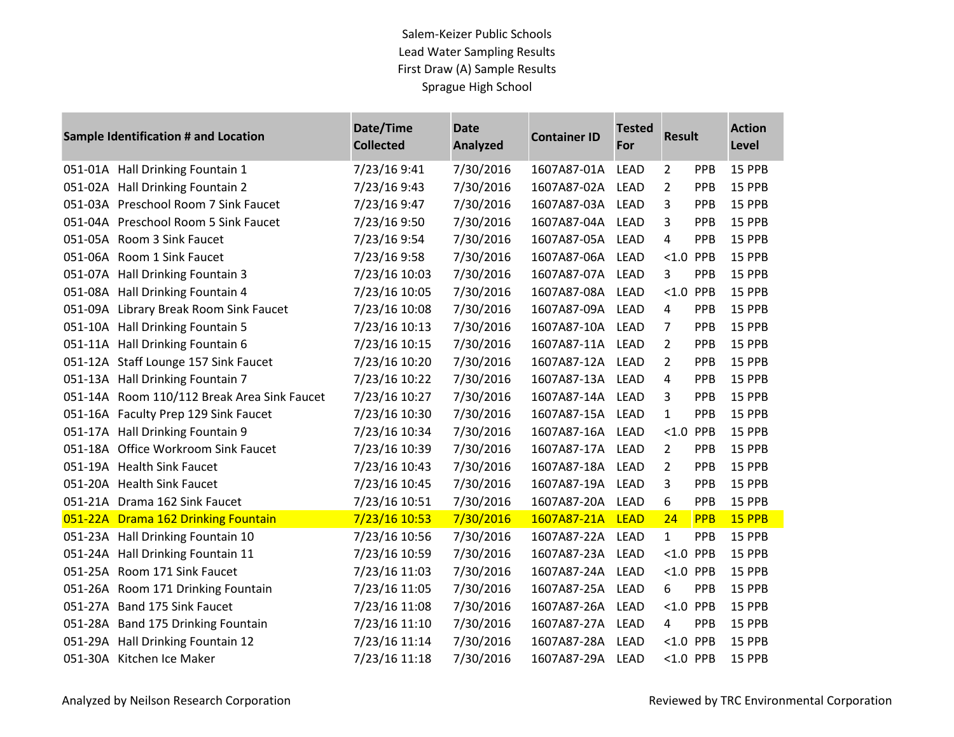| <b>Sample Identification # and Location</b> | Date/Time<br><b>Collected</b> | <b>Date</b><br><b>Analyzed</b> | <b>Container ID</b> | <b>Tested</b><br>For | <b>Result</b>  |            | <b>Action</b><br>Level |
|---------------------------------------------|-------------------------------|--------------------------------|---------------------|----------------------|----------------|------------|------------------------|
| 051-01A Hall Drinking Fountain 1            | 7/23/16 9:41                  | 7/30/2016                      | 1607A87-01A         | <b>LEAD</b>          | 2              | PPB        | 15 PPB                 |
| 051-02A Hall Drinking Fountain 2            | 7/23/16 9:43                  | 7/30/2016                      | 1607A87-02A         | <b>LEAD</b>          | $\overline{2}$ | PPB        | 15 PPB                 |
| 051-03A Preschool Room 7 Sink Faucet        | 7/23/16 9:47                  | 7/30/2016                      | 1607A87-03A         | <b>LEAD</b>          | 3              | <b>PPB</b> | 15 PPB                 |
| 051-04A Preschool Room 5 Sink Faucet        | 7/23/16 9:50                  | 7/30/2016                      | 1607A87-04A         | <b>LEAD</b>          | 3              | PPB        | 15 PPB                 |
| 051-05A Room 3 Sink Faucet                  | 7/23/16 9:54                  | 7/30/2016                      | 1607A87-05A         | <b>LEAD</b>          | 4              | PPB        | 15 PPB                 |
| 051-06A Room 1 Sink Faucet                  | 7/23/16 9:58                  | 7/30/2016                      | 1607A87-06A         | <b>LEAD</b>          | $< 1.0$ PPB    |            | 15 PPB                 |
| 051-07A Hall Drinking Fountain 3            | 7/23/16 10:03                 | 7/30/2016                      | 1607A87-07A         | <b>LEAD</b>          | 3              | PPB        | 15 PPB                 |
| 051-08A Hall Drinking Fountain 4            | 7/23/16 10:05                 | 7/30/2016                      | 1607A87-08A         | <b>LEAD</b>          | $< 1.0$ PPB    |            | 15 PPB                 |
| 051-09A Library Break Room Sink Faucet      | 7/23/16 10:08                 | 7/30/2016                      | 1607A87-09A         | LEAD                 | $\overline{4}$ | PPB        | 15 PPB                 |
| 051-10A Hall Drinking Fountain 5            | 7/23/16 10:13                 | 7/30/2016                      | 1607A87-10A         | <b>LEAD</b>          | 7              | PPB        | 15 PPB                 |
| 051-11A Hall Drinking Fountain 6            | 7/23/16 10:15                 | 7/30/2016                      | 1607A87-11A         | <b>LEAD</b>          | $\overline{2}$ | PPB        | 15 PPB                 |
| 051-12A Staff Lounge 157 Sink Faucet        | 7/23/16 10:20                 | 7/30/2016                      | 1607A87-12A         | LEAD                 | 2              | PPB        | 15 PPB                 |
| 051-13A Hall Drinking Fountain 7            | 7/23/16 10:22                 | 7/30/2016                      | 1607A87-13A         | <b>LEAD</b>          | $\overline{4}$ | PPB        | 15 PPB                 |
| 051-14A Room 110/112 Break Area Sink Faucet | 7/23/16 10:27                 | 7/30/2016                      | 1607A87-14A         | <b>LEAD</b>          | 3              | PPB        | 15 PPB                 |
| 051-16A Faculty Prep 129 Sink Faucet        | 7/23/16 10:30                 | 7/30/2016                      | 1607A87-15A         | <b>LEAD</b>          | $\mathbf{1}$   | PPB        | 15 PPB                 |
| 051-17A Hall Drinking Fountain 9            | 7/23/16 10:34                 | 7/30/2016                      | 1607A87-16A LEAD    |                      | $< 1.0$ PPB    |            | 15 PPB                 |
| 051-18A Office Workroom Sink Faucet         | 7/23/16 10:39                 | 7/30/2016                      | 1607A87-17A LEAD    |                      | $\overline{2}$ | PPB        | 15 PPB                 |
| 051-19A Health Sink Faucet                  | 7/23/16 10:43                 | 7/30/2016                      | 1607A87-18A         | <b>LEAD</b>          | $\overline{2}$ | PPB        | 15 PPB                 |
| 051-20A Health Sink Faucet                  | 7/23/16 10:45                 | 7/30/2016                      | 1607A87-19A         | <b>LEAD</b>          | 3              | PPB        | 15 PPB                 |
| 051-21A Drama 162 Sink Faucet               | 7/23/16 10:51                 | 7/30/2016                      | 1607A87-20A         | <b>LEAD</b>          | 6              | PPB        | 15 PPB                 |
| 051-22A Drama 162 Drinking Fountain         | 7/23/16 10:53                 | 7/30/2016                      | 1607A87-21A         | <b>LEAD</b>          | 24             | <b>PPB</b> | 15 PPB                 |
| 051-23A Hall Drinking Fountain 10           | 7/23/16 10:56                 | 7/30/2016                      | 1607A87-22A         | <b>LEAD</b>          | $\mathbf{1}$   | PPB        | 15 PPB                 |
| 051-24A Hall Drinking Fountain 11           | 7/23/16 10:59                 | 7/30/2016                      | 1607A87-23A         | LEAD                 | $< 1.0$ PPB    |            | 15 PPB                 |
| 051-25A Room 171 Sink Faucet                | 7/23/16 11:03                 | 7/30/2016                      | 1607A87-24A         | <b>LEAD</b>          | $< 1.0$ PPB    |            | 15 PPB                 |
| 051-26A Room 171 Drinking Fountain          | 7/23/16 11:05                 | 7/30/2016                      | 1607A87-25A LEAD    |                      | 6              | PPB        | 15 PPB                 |
| 051-27A Band 175 Sink Faucet                | 7/23/16 11:08                 | 7/30/2016                      | 1607A87-26A         | <b>LEAD</b>          | $< 1.0$ PPB    |            | 15 PPB                 |
| 051-28A Band 175 Drinking Fountain          | 7/23/16 11:10                 | 7/30/2016                      | 1607A87-27A         | LEAD                 | 4              | PPB        | 15 PPB                 |
| 051-29A Hall Drinking Fountain 12           | 7/23/16 11:14                 | 7/30/2016                      | 1607A87-28A         | <b>LEAD</b>          | $< 1.0$ PPB    |            | 15 PPB                 |
| 051-30A Kitchen Ice Maker                   | 7/23/16 11:18                 | 7/30/2016                      | 1607A87-29A         | <b>LEAD</b>          | $< 1.0$ PPB    |            | 15 PPB                 |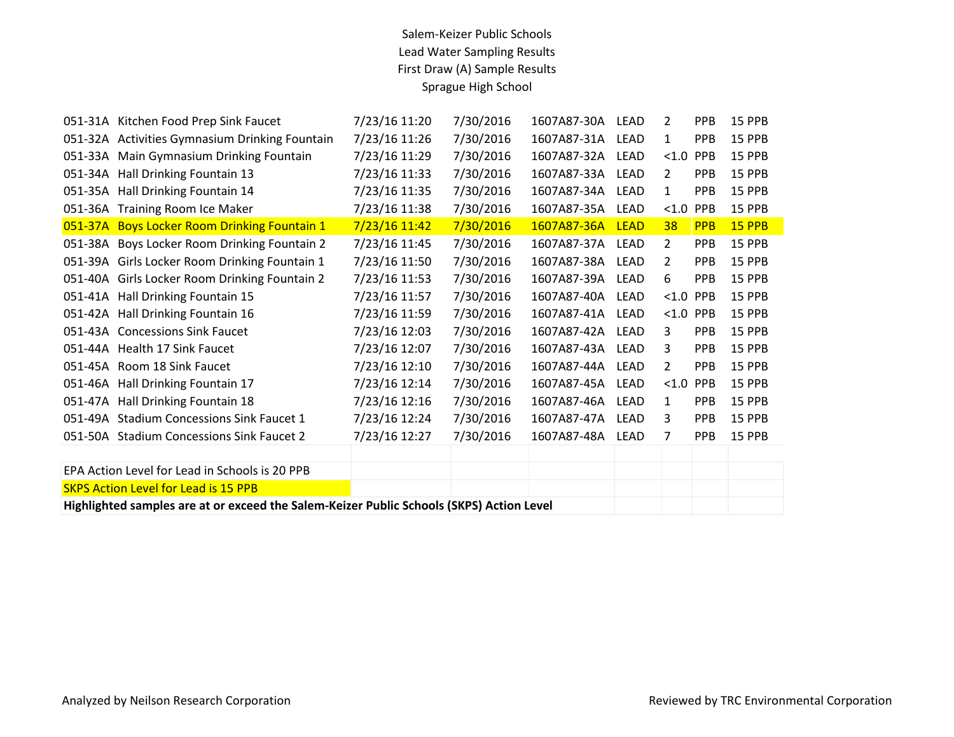| 051-31A Kitchen Food Prep Sink Faucet                                                    | 7/23/16 11:20 | 7/30/2016 | 1607A87-30A | LEAD        | $\overline{2}$ | <b>PPB</b> | 15 PPB        |
|------------------------------------------------------------------------------------------|---------------|-----------|-------------|-------------|----------------|------------|---------------|
| 051-32A Activities Gymnasium Drinking Fountain                                           | 7/23/16 11:26 | 7/30/2016 | 1607A87-31A | LEAD        | $\mathbf{1}$   | <b>PPB</b> | 15 PPB        |
| 051-33A Main Gymnasium Drinking Fountain                                                 | 7/23/16 11:29 | 7/30/2016 | 1607A87-32A | LEAD        | < 1.0          | <b>PPB</b> | 15 PPB        |
| 051-34A Hall Drinking Fountain 13                                                        | 7/23/16 11:33 | 7/30/2016 | 1607A87-33A | LEAD        | $\overline{2}$ | <b>PPB</b> | <b>15 PPB</b> |
| 051-35A Hall Drinking Fountain 14                                                        | 7/23/16 11:35 | 7/30/2016 | 1607A87-34A | LEAD        | $\mathbf{1}$   | <b>PPB</b> | 15 PPB        |
| 051-36A Training Room Ice Maker                                                          | 7/23/16 11:38 | 7/30/2016 | 1607A87-35A | LEAD        | < 1.0          | PPB        | 15 PPB        |
| 051-37A Boys Locker Room Drinking Fountain 1                                             | 7/23/16 11:42 | 7/30/2016 | 1607A87-36A | <b>LEAD</b> | 38             | <b>PPB</b> | 15 PPB        |
| 051-38A Boys Locker Room Drinking Fountain 2                                             | 7/23/16 11:45 | 7/30/2016 | 1607A87-37A | <b>LEAD</b> | $\overline{2}$ | <b>PPB</b> | 15 PPB        |
| 051-39A Girls Locker Room Drinking Fountain 1                                            | 7/23/16 11:50 | 7/30/2016 | 1607A87-38A | LEAD        | 2              | <b>PPB</b> | 15 PPB        |
| 051-40A Girls Locker Room Drinking Fountain 2                                            | 7/23/16 11:53 | 7/30/2016 | 1607A87-39A | LEAD        | 6              | <b>PPB</b> | 15 PPB        |
| 051-41A Hall Drinking Fountain 15                                                        | 7/23/16 11:57 | 7/30/2016 | 1607A87-40A | LEAD        | < 1.0          | PPB        | <b>15 PPB</b> |
| 051-42A Hall Drinking Fountain 16                                                        | 7/23/16 11:59 | 7/30/2016 | 1607A87-41A | LEAD        | < 1.0          | <b>PPB</b> | <b>15 PPB</b> |
| 051-43A Concessions Sink Faucet                                                          | 7/23/16 12:03 | 7/30/2016 | 1607A87-42A | <b>LEAD</b> | 3              | <b>PPB</b> | 15 PPB        |
| 051-44A Health 17 Sink Faucet                                                            | 7/23/16 12:07 | 7/30/2016 | 1607A87-43A | LEAD        | 3              | <b>PPB</b> | 15 PPB        |
| 051-45A Room 18 Sink Faucet                                                              | 7/23/16 12:10 | 7/30/2016 | 1607A87-44A | LEAD        | $\overline{2}$ | <b>PPB</b> | 15 PPB        |
| 051-46A Hall Drinking Fountain 17                                                        | 7/23/16 12:14 | 7/30/2016 | 1607A87-45A | LEAD        | < 1.0          | PPB        | 15 PPB        |
| 051-47A Hall Drinking Fountain 18                                                        | 7/23/16 12:16 | 7/30/2016 | 1607A87-46A | LEAD        | $\mathbf{1}$   | <b>PPB</b> | 15 PPB        |
| 051-49A Stadium Concessions Sink Faucet 1                                                | 7/23/16 12:24 | 7/30/2016 | 1607A87-47A | LEAD        | 3              | <b>PPB</b> | <b>15 PPB</b> |
| 051-50A Stadium Concessions Sink Faucet 2                                                | 7/23/16 12:27 | 7/30/2016 | 1607A87-48A | LEAD        | 7              | <b>PPB</b> | 15 PPB        |
|                                                                                          |               |           |             |             |                |            |               |
| EPA Action Level for Lead in Schools is 20 PPB                                           |               |           |             |             |                |            |               |
| <b>SKPS Action Level for Lead is 15 PPB</b>                                              |               |           |             |             |                |            |               |
| Highlighted samples are at or exceed the Salem-Keizer Public Schools (SKPS) Action Level |               |           |             |             |                |            |               |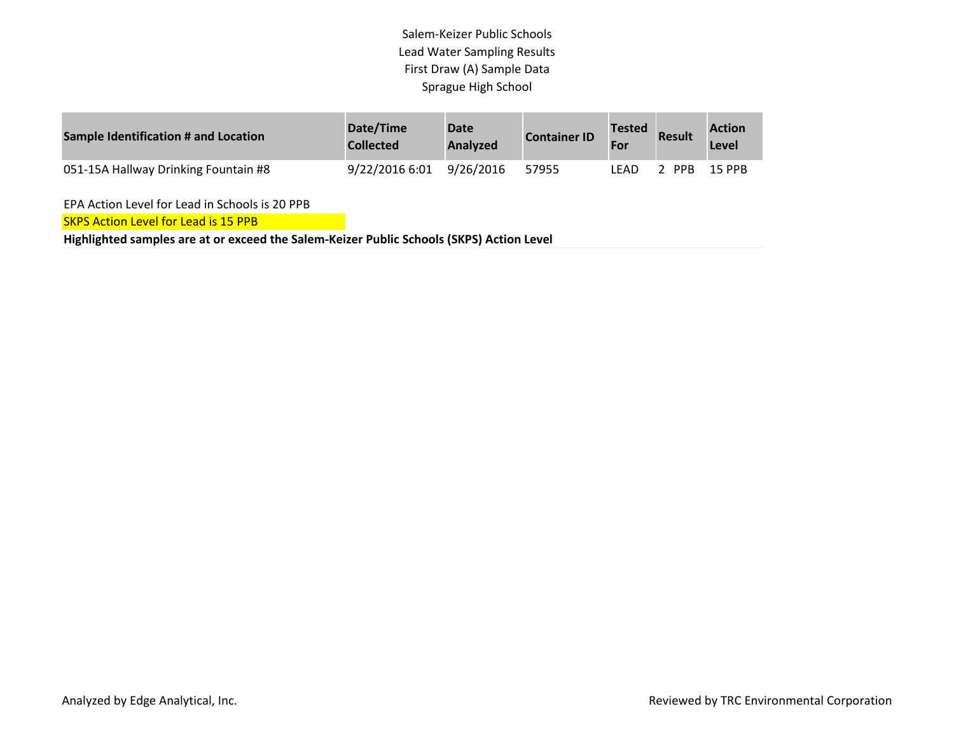| Sample Identification # and Location | Date/Time<br><b>Collected</b> | <b>Date</b><br><b>Analyzed</b> | <b>Container ID</b> | <b>Tested</b><br>For | <b>Result</b> | <b>Action</b><br>Level |
|--------------------------------------|-------------------------------|--------------------------------|---------------------|----------------------|---------------|------------------------|
| 051-15A Hallway Drinking Fountain #8 | 9/22/2016 6:01                | 9/26/2016                      | 57955               | LEAD                 | <b>PPR</b>    | <b>15 PPB</b>          |

EPA Action Level for Lead in Schools is 20 PPB

SKPS Action Level for Lead is 15 PPB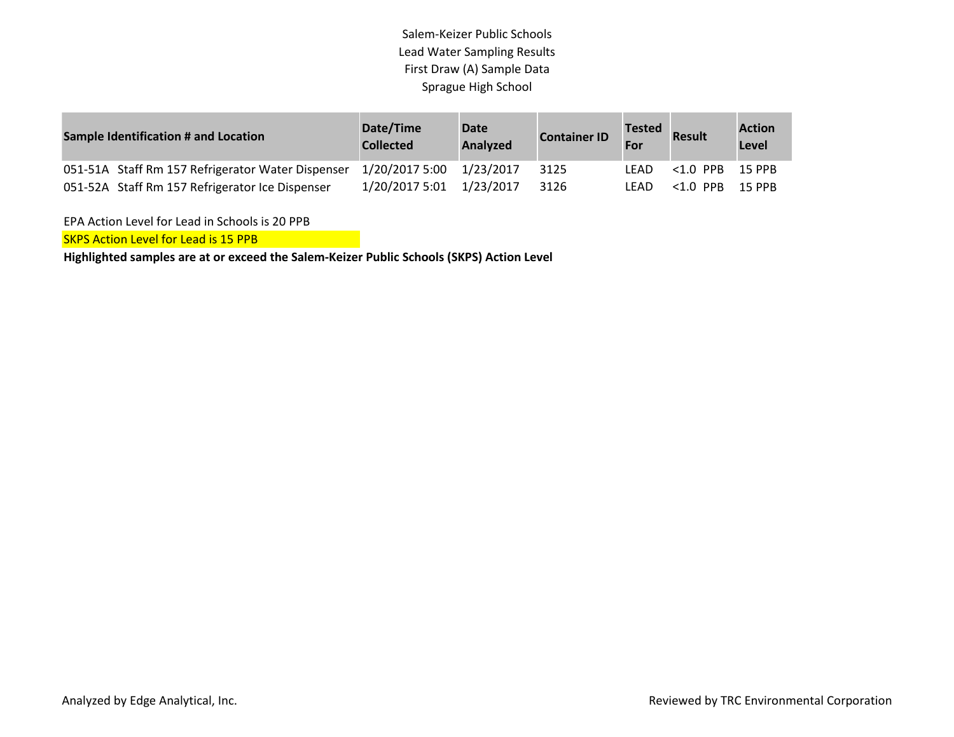| <b>Sample Identification # and Location</b>       | Date/Time<br><b>Collected</b> | <b>Date</b><br><b>Analyzed</b> | <b>Container ID</b> | <b>Tested</b><br><b>Result</b><br>For |             | <b>Action</b><br>Level |
|---------------------------------------------------|-------------------------------|--------------------------------|---------------------|---------------------------------------|-------------|------------------------|
| 051-51A Staff Rm 157 Refrigerator Water Dispenser | 1/20/2017 5:00                | 1/23/2017                      | 3125                | LFAD.                                 | <1.0 PPB    | 15 PPB                 |
| 051-52A Staff Rm 157 Refrigerator Ice Dispenser   | 1/20/2017 5:01                | 1/23/2017                      | 3126                | LFAD.                                 | $< 1.0$ PPB | 15 PPB                 |

EPA Action Level for Lead in Schools is 20 PPB

**SKPS Action Level for Lead is 15 PPB**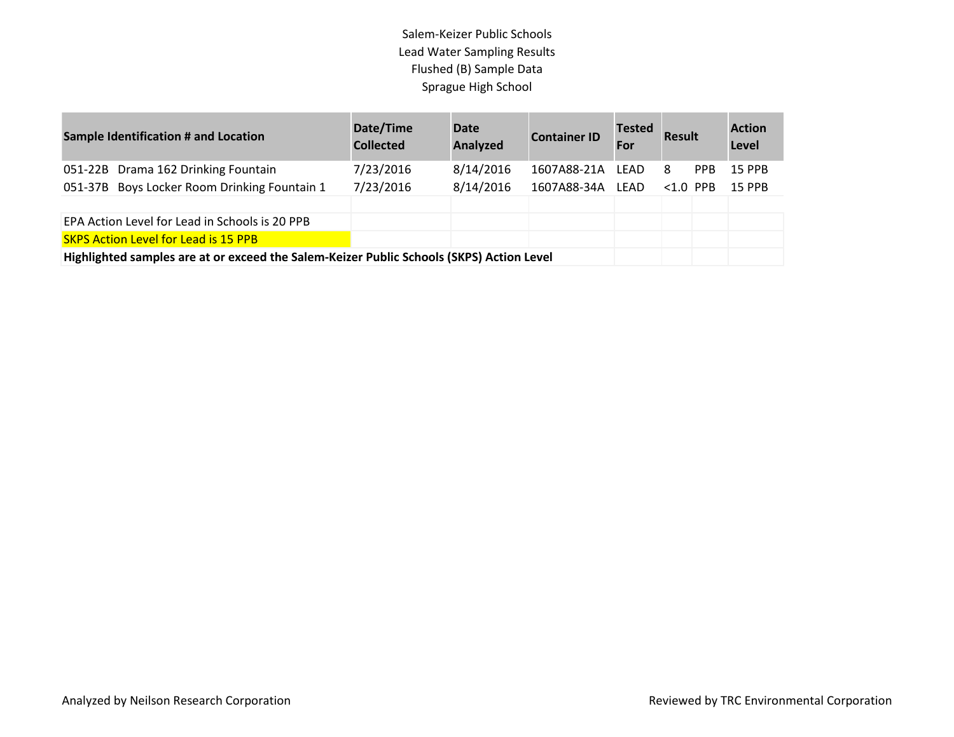| <b>Sample Identification # and Location</b>                                              | Date/Time<br><b>Collected</b> | <b>Date</b><br>Analyzed | <b>Container ID</b> | <b>Tested</b><br>For | <b>Result</b> |            | <b>Action</b><br>Level |
|------------------------------------------------------------------------------------------|-------------------------------|-------------------------|---------------------|----------------------|---------------|------------|------------------------|
| 051-22B Drama 162 Drinking Fountain                                                      | 7/23/2016                     | 8/14/2016               | 1607A88-21A         | LEAD                 | 8             | <b>PPB</b> | <b>15 PPB</b>          |
| 051-37B Boys Locker Room Drinking Fountain 1                                             | 7/23/2016                     | 8/14/2016               | 1607A88-34A         | LEAD                 | $< 1.0$ PPB   |            | <b>15 PPB</b>          |
|                                                                                          |                               |                         |                     |                      |               |            |                        |
| EPA Action Level for Lead in Schools is 20 PPB                                           |                               |                         |                     |                      |               |            |                        |
| <b>SKPS Action Level for Lead is 15 PPB</b>                                              |                               |                         |                     |                      |               |            |                        |
| Highlighted samples are at or exceed the Salem-Keizer Public Schools (SKPS) Action Level |                               |                         |                     |                      |               |            |                        |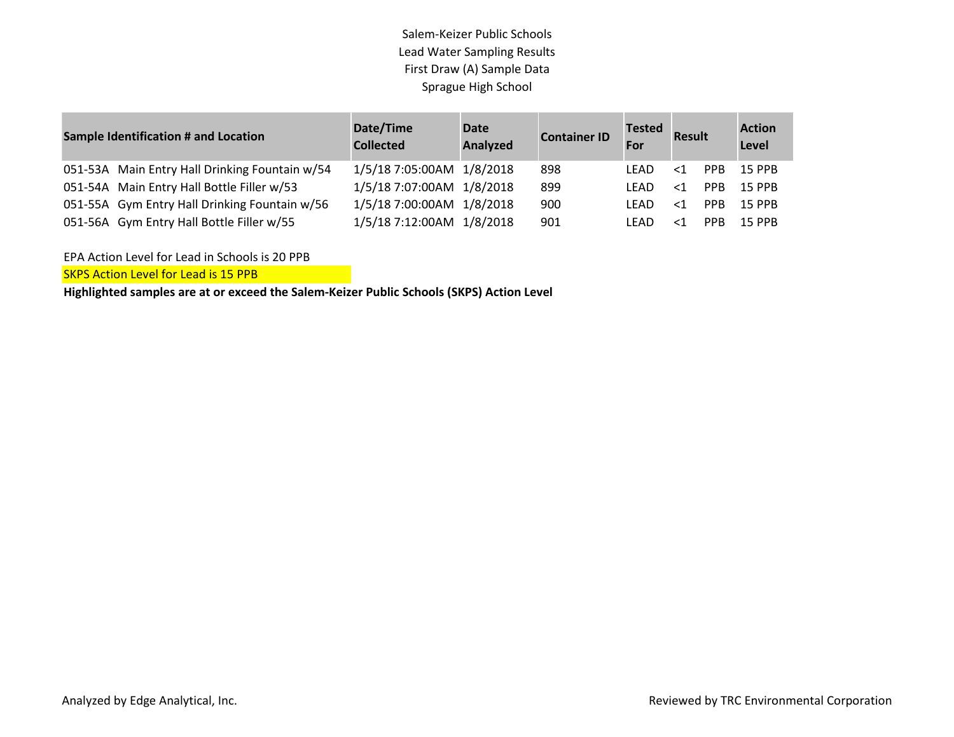| <b>Sample Identification # and Location</b>    | Date/Time<br><b>Collected</b> | <b>Date</b><br>Analyzed | <b>Container ID</b> | <b>Tested</b><br>For | <b>Result</b> |            | <b>Action</b><br>Level |
|------------------------------------------------|-------------------------------|-------------------------|---------------------|----------------------|---------------|------------|------------------------|
| 051-53A Main Entry Hall Drinking Fountain w/54 | 1/5/18 7:05:00AM 1/8/2018     |                         | 898                 | LFAD                 | $\leq$ 1      | PPB.       | <b>15 PPB</b>          |
| 051-54A Main Entry Hall Bottle Filler w/53     | 1/5/18 7:07:00AM 1/8/2018     |                         | 899                 | LFAD                 | $<$ 1         | PPB.       | <b>15 PPB</b>          |
| 051-55A Gym Entry Hall Drinking Fountain w/56  | 1/5/18 7:00:00AM 1/8/2018     |                         | 900                 | LFAD                 | $\leq$ 1      | <b>PPB</b> | <b>15 PPB</b>          |
| 051-56A Gym Entry Hall Bottle Filler w/55      | 1/5/18 7:12:00AM 1/8/2018     |                         | 901                 | LFAD                 | $\leq$ 1      | PPR.       | <b>15 PPR</b>          |

EPA Action Level for Lead in Schools is 20 PPB

**SKPS Action Level for Lead is 15 PPB**